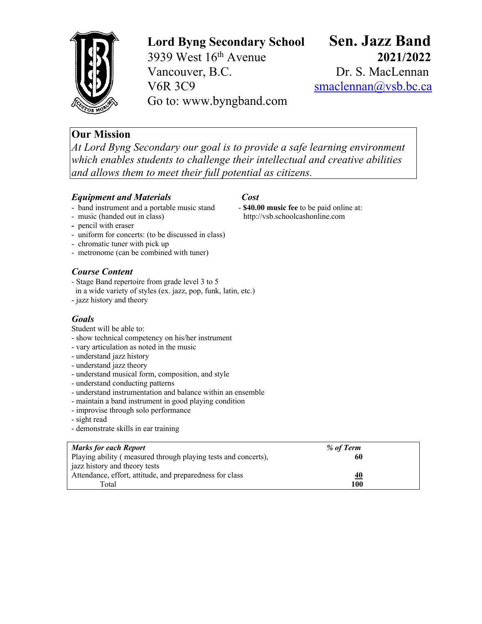

**Lord Byng Secondary School Sen. Jazz Band**

3939 West 16th Avenue **2021/2022** Vancouver, B.C. Dr. S. MacLennan V6R 3C9 smaclennan@vsb.bc.ca Go to: www.byngband.com

# **Our Mission**

*At Lord Byng Secondary our goal is to provide a safe learning environment which enables students to challenge their intellectual and creative abilities and allows them to meet their full potential as citizens.*

## *Equipment and Materials Cost*

- band instrument and a portable music stand **- \$40.00 music fee** to be paid online at:

- music (handed out in class) http://vsb.schoolcashonline.com
- pencil with eraser
- uniform for concerts: (to be discussed in class)
- chromatic tuner with pick up
- metronome (can be combined with tuner)

# *Course Content*

- Stage Band repertoire from grade level 3 to 5
- in a wide variety of styles (ex. jazz, pop, funk, latin, etc.)
- jazz history and theory

# *Goals*

Student will be able to:

- show technical competency on his/her instrument
- vary articulation as noted in the music
- understand jazz history
- understand jazz theory
- understand musical form, composition, and style
- understand conducting patterns
- understand instrumentation and balance within an ensemble
- maintain a band instrument in good playing condition
- improvise through solo performance
- sight read
- demonstrate skills in ear training

| <b>Marks for each Report</b>                                   | % of Term |  |
|----------------------------------------------------------------|-----------|--|
| Playing ability (measured through playing tests and concerts), | 60        |  |
| jazz history and theory tests                                  |           |  |
| Attendance, effort, attitude, and preparedness for class       | <u>40</u> |  |
| Total                                                          | 100       |  |